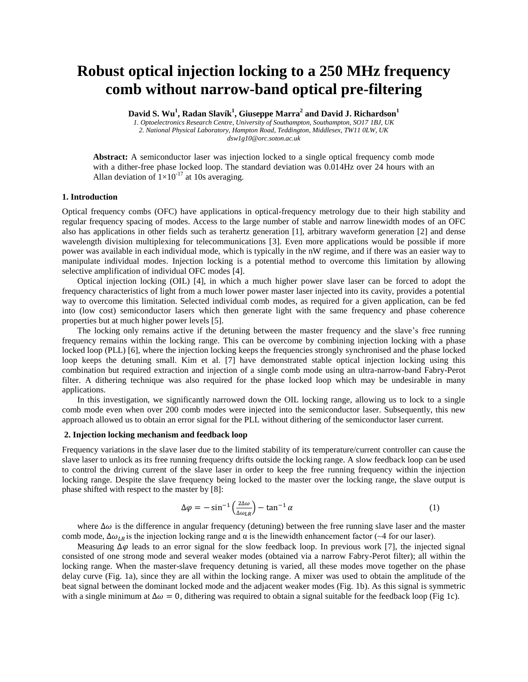# **Robust optical injection locking to a 250 MHz frequency comb without narrow-band optical pre-filtering**

**David S. Wu<sup>1</sup> , Radan Slavík 1 , Giuseppe Marra<sup>2</sup> and David J. Richardson<sup>1</sup>**

*1. Optoelectronics Research Centre, University of Southampton, Southampton, SO17 1BJ, UK 2. National Physical Laboratory, Hampton Road, Teddington, Middlesex, TW11 0LW, UK dsw1g10@orc.soton.ac.uk*

Abstract: A semiconductor laser was injection locked to a single optical frequency comb mode with a dither-free phase locked loop. The standard deviation was 0.014Hz over 24 hours with an Allan deviation of  $1\times10^{-17}$  at 10s averaging.

## **1. Introduction**

Optical frequency combs (OFC) have applications in optical-frequency metrology due to their high stability and regular frequency spacing of modes. Access to the large number of stable and narrow linewidth modes of an OFC also has applications in other fields such as terahertz generation [1], arbitrary waveform generation [2] and dense wavelength division multiplexing for telecommunications [3]. Even more applications would be possible if more power was available in each individual mode, which is typically in the nW regime, and if there was an easier way to manipulate individual modes. Injection locking is a potential method to overcome this limitation by allowing selective amplification of individual OFC modes [4].

Optical injection locking (OIL) [4], in which a much higher power slave laser can be forced to adopt the frequency characteristics of light from a much lower power master laser injected into its cavity, provides a potential way to overcome this limitation. Selected individual comb modes, as required for a given application, can be fed into (low cost) semiconductor lasers which then generate light with the same frequency and phase coherence properties but at much higher power levels [5].

The locking only remains active if the detuning between the master frequency and the slave's free running frequency remains within the locking range. This can be overcome by combining injection locking with a phase locked loop (PLL) [6], where the injection locking keeps the frequencies strongly synchronised and the phase locked loop keeps the detuning small. Kim et al. [7] have demonstrated stable optical injection locking using this combination but required extraction and injection of a single comb mode using an ultra-narrow-band Fabry-Perot filter. A dithering technique was also required for the phase locked loop which may be undesirable in many applications.

In this investigation, we significantly narrowed down the OIL locking range, allowing us to lock to a single comb mode even when over 200 comb modes were injected into the semiconductor laser. Subsequently, this new approach allowed us to obtain an error signal for the PLL without dithering of the semiconductor laser current.

#### **2. Injection locking mechanism and feedback loop**

Frequency variations in the slave laser due to the limited stability of its temperature/current controller can cause the slave laser to unlock as its free running frequency drifts outside the locking range. A slow feedback loop can be used to control the driving current of the slave laser in order to keep the free running frequency within the injection locking range. Despite the slave frequency being locked to the master over the locking range, the slave output is phase shifted with respect to the master by [8]:

$$
\Delta \varphi = -\sin^{-1} \left( \frac{2\Delta \omega}{\Delta \omega_{LR}} \right) - \tan^{-1} \alpha \tag{1}
$$

where  $\Delta\omega$  is the difference in angular frequency (detuning) between the free running slave laser and the master comb mode,  $\Delta \omega_{lR}$  is the injection locking range and  $\alpha$  is the linewidth enhancement factor (~4 for our laser).

Measuring  $\Delta\varphi$  leads to an error signal for the slow feedback loop. In previous work [7], the injected signal consisted of one strong mode and several weaker modes (obtained via a narrow Fabry-Perot filter); all within the locking range. When the master-slave frequency detuning is varied, all these modes move together on the phase delay curve (Fig. 1a), since they are all within the locking range. A mixer was used to obtain the amplitude of the beat signal between the dominant locked mode and the adjacent weaker modes (Fig. 1b). As this signal is symmetric with a single minimum at  $\Delta \omega = 0$ , dithering was required to obtain a signal suitable for the feedback loop (Fig 1c).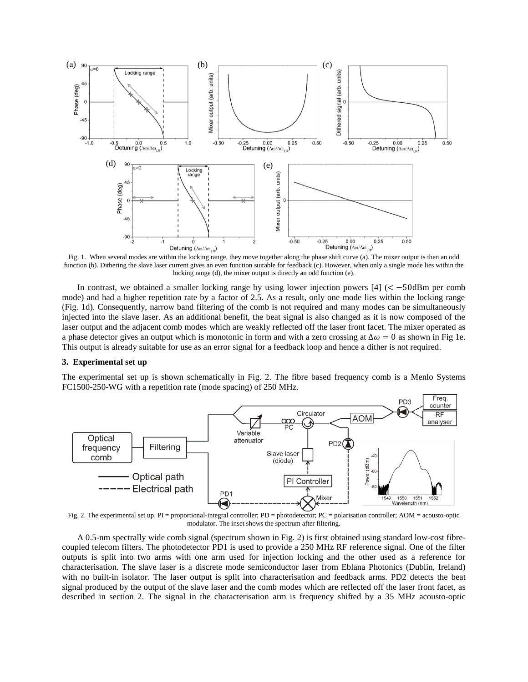

Fig. 1. When several modes are within the locking range, they move together along the phase shift curve (a). The mixer output is then an odd function (b). Dithering the slave laser current gives an even function suitable for feedback (c). However, when only a single mode lies within the locking range (d), the mixer output is directly an odd function (e).

In contrast, we obtained a smaller locking range by using lower injection powers  $[4]$  ( $\lt -50$ dBm per comb mode) and had a higher repetition rate by a factor of 2.5. As a result, only one mode lies within the locking range (Fig. 1d). Consequently, narrow band filtering of the comb is not required and many modes can be simultaneously injected into the slave laser. As an additional benefit, the beat signal is also changed as it is now composed of the laser output and the adjacent comb modes which are weakly reflected off the laser front facet. The mixer operated as a phase detector gives an output which is monotonic in form and with a zero crossing at  $\Delta \omega = 0$  as shown in Fig 1e. This output is already suitable for use as an error signal for a feedback loop and hence a dither is not required.

## **3. Experimental set up**

The experimental set up is shown schematically in Fig. 2. The fibre based frequency comb is a Menlo Systems FC1500-250-WG with a repetition rate (mode spacing) of 250 MHz.



Fig. 2. The experimental set up. PI = proportional-integral controller; PD = photodetector; PC = polarisation controller; AOM = acousto-optic modulator. The inset shows the spectrum after filtering.

A 0.5-nm spectrally wide comb signal (spectrum shown in Fig. 2) is first obtained using standard low-cost fibrecoupled telecom filters. The photodetector PD1 is used to provide a 250 MHz RF reference signal. One of the filter outputs is split into two arms with one arm used for injection locking and the other used as a reference for characterisation. The slave laser is a discrete mode semiconductor laser from Eblana Photonics (Dublin, Ireland) with no built-in isolator. The laser output is split into characterisation and feedback arms. PD2 detects the beat signal produced by the output of the slave laser and the comb modes which are reflected off the laser front facet, as described in section 2. The signal in the characterisation arm is frequency shifted by a 35 MHz acousto-optic